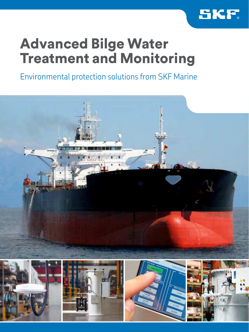

### Advanced Bilge Water Treatment and Monitoring

Environmental protection solutions from SKF Marine

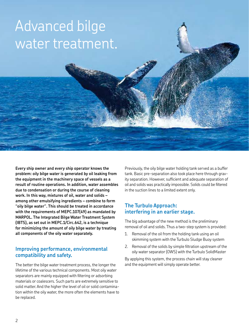## Advanced bilge water treatment.

**Every ship owner and every ship operator knows the problem: oily bilge water is generated by oil leaking from the equipment in the machinery space of vessels as a result of routine operations. In addition, water assembles due to condensation or during the course of cleaning work. In this way, mixtures of oil, water and solids – among other emulsifying ingredients – combine to form "oily bilge water". This should be treated in accordance with the requirements of MEPC.107(49) as mandated by MARPOL. The Integrated Bilge Water Treatment System (IBTS), as set out in MEPC.1/Circ.642, is a technique for minimizing the amount of oily bilge water by treating all components of the oily water separately.**

#### **Improving performance, environmental compatibility and safety.**

The better the bilge water treatment process, the longer the lifetime of the various technical components. Most oily water separators are mainly equipped with filtering or adsorbing materials or coalescers. Such parts are extremely sensitive to solid matter. And the higher the level of oil or solid contamination within the oily water, the more often the elements have to be replaced.

Previously, the oily bilge water holding tank served as a buffer tank. Basic pre-separation also took place here through gravity separation. However, suficient and adequate separation of oil and solids was practically impossible. Solids could be filtered in the suction lines to a limited extent only.

#### **The Turbulo Approach: interfering in an earlier stage.**

The big advantage of the new method is the preliminary removal of oil and solids. Thus a two-step system is provided:

- 1. Removal of the oil from the holding tank using an oil skimming system with the Turbulo Sludge Buoy system
- 2. Removal of the solids by simple filtration upstream of the oily water separator (OWS) with the Turbulo SolidMaster

By applying this system, the process chain will stay cleaner and the equipment will simply operate better.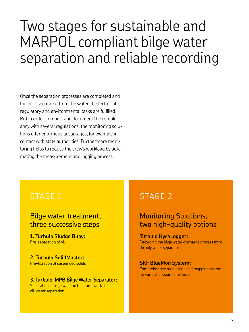## Two stages for sustainable and MARPOL compliant bilge water separation and reliable recording

Once the separation processes are completed and the oil is separated from the water, the technical, regulatory and environmental tasks are fulilled. But in order to report and document the compliancy with several regulations, the monitoring solutions offer enormous advantages, for example in contact with state authorities. Furthermore monitoring helps to reduce the crew's workload by automating the measurement and logging process.

### STAGE 1

### Bilge water treatment, three successive steps

**1. Turbulo Sludge Buoy:**  Pre-separation of oil

**2. Turbulo SolidMaster:**  Pre-filtration of suspended solids

#### **3. Turbulo-MPB Bilge Water Separator:**

Separation of bilge water in the framework of oil-water separation

### STAGE 2

### Monitoring Solutions, two high-quality options

#### **Turbulo HycaLogger:**

Recording the bilge water discharge process from the oily water separator

#### **SKF BlueMon System:**

Comprehensive monitoring and mapping system for various onboard emissions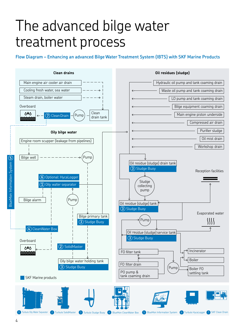## The advanced bilge water treatment process

**Flow Diagram – Enhancing an advanced Bilge Water Treatment System (IBTS) with SKF Marine Products**

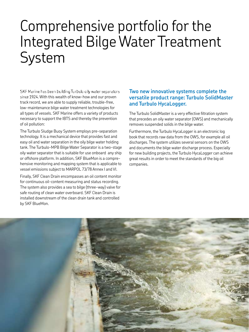## Comprehensive portfolio for the Integrated Bilge Water Treatment System

SKF Marine has been building Turbulo oily water separators since 1924. With this wealth of know-how and our proven track record, we are able to supply reliable, trouble-free, low-maintenance bilge water treatment technologies for all types of vessels. SKF Marine offers a variety of products necessary to support the IBTS and thereby the prevention of oil pollution:

The Turbulo Sludge Buoy System employs pre-separation technology. It is a mechanical device that provides fast and easy oil and water separation in the oily bilge water holding tank. The Turbulo-MPB Bilge Water Separator is a two-stage oily water separator that is suitable for use onboard any ship or offshore platform. In addition, SKF BlueMon is a comprehensive monitoring and mapping system that is applicable to vessel emissions subject to MARPOL 73/78 Annex I and VI.

Finally, SKF Clean Drain encompasses an oil content monitor for continuous oil-content measuring and status recording. The system also provides a sea to bilge (three-way) valve for safe routing of clean water overboard. SKF Clean Drain is installed downstream of the clean drain tank and controlled by SKF BlueMon.

#### **Two new innovative systems complete the versatile product range: Turbulo SolidMaster and Turbulo HycaLogger.**

The Turbulo SolidMaster is a very effective filtration system that precedes an oily water separator (OWS) and mechanically removes suspended solids in the bilge water.

Furthermore, the Turbulo HycaLogger is an electronic log book that records raw data from the OWS, for example all oil discharges. The system utilizes several sensors on the OWS and documents the bilge water discharge process. Especially for new building projects, the Turbulo HycaLogger can achieve great results in order to meet the standards of the big oil companies.

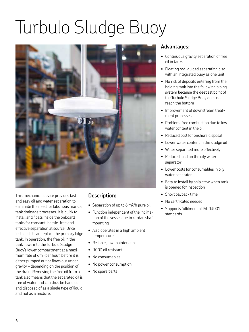# Turbulo Sludge Buoy



This mechanical device provides fast and easy oil and water separation to eliminate the need for laborious manual tank drainage processes. It is quick to install and floats inside the onboard tanks for constant, hassle-free and effective separation at source. Once installed, it can replace the primary bilge tank. In operation, the free oil in the tank flows into the Turbulo Sludge Buoy's lower compartment at a maximum rate of 6m3 per hour, before it is either pumped out or flows out under gravity – depending on the position of the drain. Removing the free oil from a tank also means that the separated oil is free of water and can thus be handled and disposed of as a single type of liquid and not as a mixture.

#### **Description:**

- Separation of up to 6 m<sup>3</sup>/h pure oil
- Function independent of the inclination of the vessel due to cardan shaft mounting
- Also operates in a high ambient temperature
- Reliable, low maintenance
- 100% oil resistant
- No consumables
- No power consumption
- No spare parts

- Continuous gravity separation of free oil in tanks
- Floating rod-guided separating disc with an integrated buoy as one unit
- No risk of deposits entering from the holding tank into the following piping system because the deepest point of the Turbulo Sludge Buoy does not reach the bottom
- Improvement of downstream treatment processes
- Problem-free combustion due to low water content in the oil
- Reduced cost for onshore disposal
- Lower water content in the sludge oil
- Water separated more effectively
- Reduced load on the oily water separator
- Lower costs for consumables in oily water separator
- Easy to install by ship crew when tank is opened for inspection
- Short payback time
- No certificates needed
- Supports fulfilment of ISO 14001 standards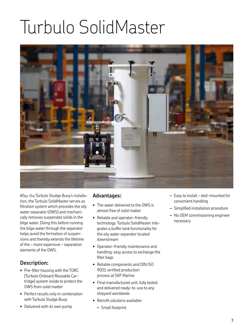# Turbulo SolidMaster



After the Turbulo Sludge Buoy's installation, the Turbulo SolidMaster serves as filtration system which precedes the oily water separator (OWS) and mechanically removes suspended solids in the bilge water. Doing this before running the bilge water through the separator helps avoid the formation of suspensions and thereby extends the lifetime of the – more expensive – separation elements of the OWS.

#### **Description:**

- Pre-filter housing with the TORC (Turbulo Onboard Reusable Cartridge) system inside to protect the OWS from solid matter
- Perfect results only in combination with Turbulo Sludge Buoy
- Delivered with its own pump

- The water delivered to the OWS is almost free of solid matter
- Reliable and operator-friendly technology: Turbulo SolidMaster integrates a buffer tank functionality for the oily water separator located downstream
- Operator-friendly maintenance and handling: easy access to exchange the filter bags
- Reliable components and DIN ISO 9001 certified production process at SKF Marine
- Final manufactured unit, fully tested and delivered ready-to-use to any shipyard worldwide
- Retrofit solutions available:
	- **–** Small footprint
- **–** Easy to install skid-mounted for convenient handling
- **–** Simpliied installation procedure
- **–** No OEM commissioning engineer necessary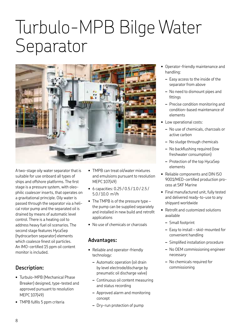## Turbulo-MPB Bilge Water Separator



A two-stage oily water separator that is suitable for use onboard all types of ships and offshore platforms. The first stage is a pressure system, with oleophilic coalescer inserts, that operates on a gravitational principle. Oily water is passed through the separator via a helical rotor pump and the separated oil is drained by means of automatic level control. There is a heating coil to address heavy fuel oil scenarios. The second stage features HycaSep (hydrocarbon separator) elements which coalesce finest oil particles. An IMO-certified 15 ppm oil content monitor is included.

#### **Description:**

- Turbulo-MPB (Mechanical Phase Breaker) designed, type-tested and approved pursuant to resolution MEPC 107(49)
- TMPB fulfils 5 ppm criteria
- TMPB can treat oil/water mixtures and emulsions pursuant to resolution MEPC 107(49)
- 6 capacities: 0.25 / 0.5 / 1.0 / 2.5 /  $5.0 / 10.0$  m<sup>3</sup>/h
- The TMPB is of the pressure type the pump can be supplied separately and installed in new build and retroit applications
- No use of chemicals or charcoals

- Reliable and operator-friendly technology:
	- **–** Automatic operation (oil drain by level electrode/discharge by pneumatic oil discharge valve)
	- **–** Continuous oil content measuring and status recording
	- **–** Approved alarm and monitoring concept
	- **–** Dry-run protection of pump
- Operator-friendly maintenance and handling:
	- **–** Easy access to the inside of the separator from above
	- **–** No need to dismount pipes and fittings
	- **–** Precise condition monitoring and condition-based maintenance of elements
- Low operational costs:
	- **–** No use of chemicals, charcoals or active carbon
	- **–** No sludge through chemicals
	- **–** No backlushing required (low freshwater consumption)
	- **–** Protection of the top HycaSep elements
- Reliable components and DIN ISO 9001/MED-certified production process at SKF Marine
- Final manufactured unit, fully tested and delivered ready-to-use to any shipyard worldwide
- Retrofit and customized solutions available
	- **–** Small footprint
	- **–** Easy to install skid-mounted for convenient handling
	- **–** Simpliied installation procedure
	- **–** No OEM commissioning engineer necessary
	- **–** No chemicals required for commissioning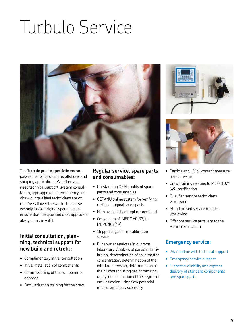# Turbulo Service



The Turbulo product portfolio encompasses plants for onshore, offshore, and shipping applications. Whether you need technical support, system consultation, type approval or emergency service – our qualified technicians are on call 24/7 all over the world. Of course, we only install original spare parts to ensure that the type and class approvals always remain valid.

#### **Initial consultation, planning, technical support for new build and retroit:**

- Complimentary initial consultation
- Initial installation of components
- Commissioning of the components onboard
- Familiarisation training for the crew

#### **Regular service, spare parts and consumables:**

- Outstanding OEM quality of spare parts and consumables
- GEPANU online system for verifying certified original spare parts
- High availability of replacement parts
- Conversion of MEPC.60(33) to MEPC.107(49)
- 15 ppm bilge alarm calibration service
- Bilge water analyses in our own laboratory: Analysis of particle distribution, determination of solid matter concentration, determination of the interfacial tension, determination of the oil content using gas chromatography, determination of the degree of emulsification using flow potential measurements, viscometry





- Particle and UV oil content measurement on-site
- Crew training relating to MEPC107/ (49) certification
- Qualified service technicians worldwide
- Standardised service reports worldwide
- Offshore service pursuant to the Bosiet certification

#### **Emergency service:**

- 24/7 hotline with technical support
- Emergency service support
- Highest availability and express delivery of standard components and spare parts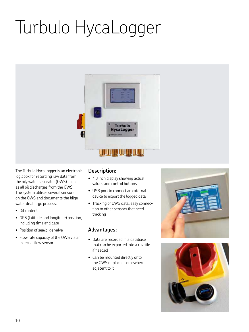# Turbulo HycaLogger



The Turbulo HycaLogger is an electronic log book for recording raw data from the oily water separator (OWS) such as all oil discharges from the OWS. The system utilises several sensors on the OWS and documents the bilge water discharge process:

- Oil content
- GPS (latitude and longitude) position, including time and date
- Position of sea/bilge valve
- Flow rate capacity of the OWS via an external flow sensor

#### **Description:**

- 4.3 inch display showing actual values and control buttons
- USB port to connect an external device to export the logged data
- Tracking of OWS data, easy connection to other sensors that need tracking

- Data are recorded in a database that can be exported into a csv-file if needed
- Can be mounted directly onto the OWS or placed somewhere adjacent to it



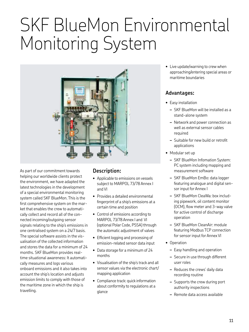## SKF BlueMon Environmental Monitoring System



As part of our commitment towards helping our worldwide clients protect the environment, we have adapted the latest technologies in the development of a special environmental monitoring system called SKF BlueMon. This is the first comprehensive system on the market that enables the crew to automatically collect and record all of the connected incoming/outgoing sensor signals relating to the ship's emissions in one centralised system on a 24/7 basis. The special software assists in the visualisation of the collected information and stores the data for a minimum of 24 months. SKF BlueMon provides realtime situational awareness: It automatically measures and logs various onboard emissions and it also takes into account the ship's location and adjusts emission limits to comply with those of the maritime zone in which the ship is travelling.

#### **Description:**

- Applicable to emissions on vessels subject to MARPOL 73/78 Annex I and VI
- Provides a detailed environmental ingerprint of a ship's emissions at a certain time and position
- Control of emissions according to MARPOL 73/78 Annex I and VI (optional Polar Code, PSSA) through the automatic adjustment of valves
- Eficient logging and processing of emission-related sensor data input
- Data storage for a minimum of 24 months
- Visualisation of the ship's track and all sensor values via the electronic chart/ mapping application
- Compliance track: quick information about conformity to regulations at a glance

• Live update/warning to crew when approaching/entering special areas or maritime boundaries

- Easy installation
	- **–** SKF BlueMon will be installed as a stand-alone system
	- **–** Network and power connection as well as external sensor cables required
	- **–** Suitable for new build or retroit applications
- Modular set up
	- **–** SKF BlueMon Infomation System: PC system including mapping and measurement software
	- **–** SKF BlueMon EmBo: data logger featuring analogue and digital sensor input for Annex I
	- **–** SKF BlueMon CleaWa: box including pipework, oil content monitor (OCM), flow meter and 3-way valve for active control of discharge operation
	- **–** SKF BlueMon CleanAir: module featuring Modbus TCP connection for sensor input for Annex VI
- Operation
	- **–** Easy handling and operation
	- **–** Secure in use through different user roles
	- **–** Reduces the crews' daily data recording routine
	- **–** Supports the crew during port authority inspections
	- **–** Remote data access available